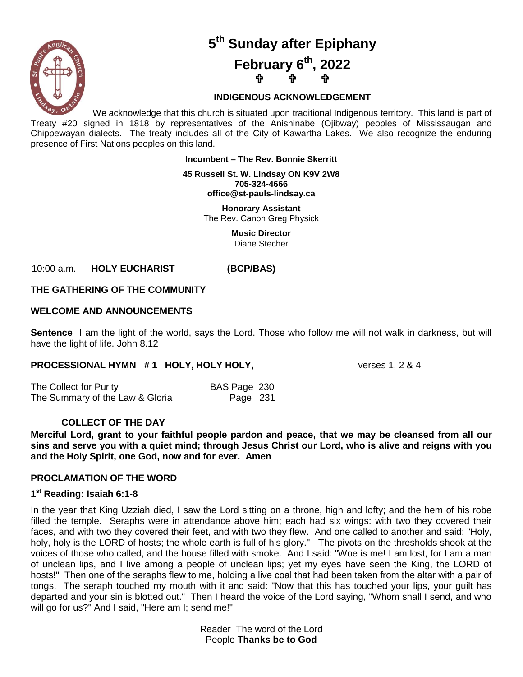

# **5 th Sunday after Epiphany February 6 th , 2022 ታ \$ \$**

# **INDIGENOUS ACKNOWLEDGEMENT**

We acknowledge that this church is situated upon traditional Indigenous territory. This land is part of Treaty #20 signed in 1818 by representatives of the Anishinabe (Ojibway) peoples of Mississaugan and Chippewayan dialects. The treaty includes all of the City of Kawartha Lakes. We also recognize the enduring presence of First Nations peoples on this land.

#### **Incumbent – The Rev. Bonnie Skerritt**

#### **45 Russell St. W. Lindsay ON K9V 2W8 705-324-4666 office@st-pauls-lindsay.ca**

**Honorary Assistant**  The Rev. Canon Greg Physick

> **Music Director** Diane Stecher

#### 10:00 a.m. **HOLY EUCHARIST (BCP/BAS)**

# **THE GATHERING OF THE COMMUNITY**

# **WELCOME AND ANNOUNCEMENTS**

**Sentence** I am the light of the world, says the Lord. Those who follow me will not walk in darkness, but will have the light of life. John 8.12

#### **PROCESSIONAL HYMN #1 HOLY, HOLY HOLY, NOW ASSES 1, 2 & 4**

| The Collect for Purity          | BAS Page 230 |
|---------------------------------|--------------|
| The Summary of the Law & Gloria | Page 231     |

# **COLLECT OF THE DAY**

**Merciful Lord, grant to your faithful people pardon and peace, that we may be cleansed from all our sins and serve you with a quiet mind; through Jesus Christ our Lord, who is alive and reigns with you and the Holy Spirit, one God, now and for ever. Amen**

# **PROCLAMATION OF THE WORD**

# **1 st Reading: Isaiah 6:1-8**

In the year that King Uzziah died, I saw the Lord sitting on a throne, high and lofty; and the hem of his robe filled the temple. Seraphs were in attendance above him; each had six wings: with two they covered their faces, and with two they covered their feet, and with two they flew. And one called to another and said: "Holy, holy, holy is the LORD of hosts; the whole earth is full of his glory." The pivots on the thresholds shook at the voices of those who called, and the house filled with smoke. And I said: "Woe is me! I am lost, for I am a man of unclean lips, and I live among a people of unclean lips; yet my eyes have seen the King, the LORD of hosts!" Then one of the seraphs flew to me, holding a live coal that had been taken from the altar with a pair of tongs. The seraph touched my mouth with it and said: "Now that this has touched your lips, your guilt has departed and your sin is blotted out." Then I heard the voice of the Lord saying, "Whom shall I send, and who will go for us?" And I said, "Here am I; send me!"

> Reader The word of the Lord People **Thanks be to God**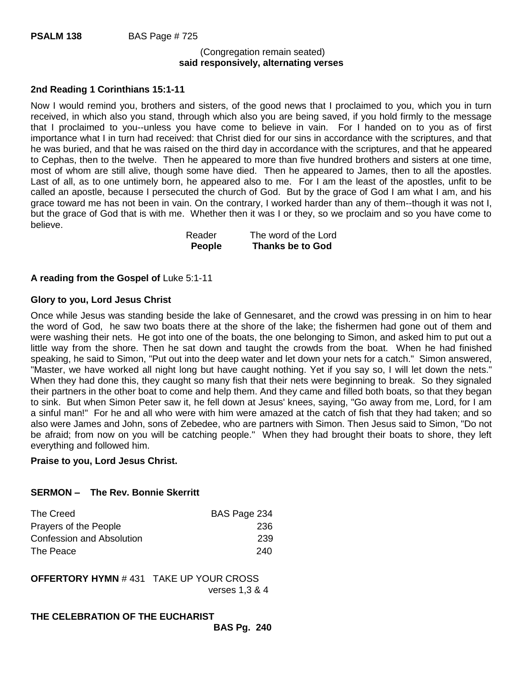# (Congregation remain seated) **said responsively, alternating verses**

# **2nd Reading 1 Corinthians 15:1-11**

Now I would remind you, brothers and sisters, of the good news that I proclaimed to you, which you in turn received, in which also you stand, through which also you are being saved, if you hold firmly to the message that I proclaimed to you--unless you have come to believe in vain. For I handed on to you as of first importance what I in turn had received: that Christ died for our sins in accordance with the scriptures, and that he was buried, and that he was raised on the third day in accordance with the scriptures, and that he appeared to Cephas, then to the twelve. Then he appeared to more than five hundred brothers and sisters at one time, most of whom are still alive, though some have died. Then he appeared to James, then to all the apostles. Last of all, as to one untimely born, he appeared also to me. For I am the least of the apostles, unfit to be called an apostle, because I persecuted the church of God. But by the grace of God I am what I am, and his grace toward me has not been in vain. On the contrary, I worked harder than any of them--though it was not I, but the grace of God that is with me. Whether then it was I or they, so we proclaim and so you have come to believe.

| Reader        | The word of the Lord    |
|---------------|-------------------------|
| <b>People</b> | <b>Thanks be to God</b> |

# **A reading from the Gospel of** Luke 5:1-11

# **Glory to you, Lord Jesus Christ**

Once while Jesus was standing beside the lake of Gennesaret, and the crowd was pressing in on him to hear the word of God, he saw two boats there at the shore of the lake; the fishermen had gone out of them and were washing their nets. He got into one of the boats, the one belonging to Simon, and asked him to put out a little way from the shore. Then he sat down and taught the crowds from the boat. When he had finished speaking, he said to Simon, "Put out into the deep water and let down your nets for a catch." Simon answered, "Master, we have worked all night long but have caught nothing. Yet if you say so, I will let down the nets." When they had done this, they caught so many fish that their nets were beginning to break. So they signaled their partners in the other boat to come and help them. And they came and filled both boats, so that they began to sink. But when Simon Peter saw it, he fell down at Jesus' knees, saying, "Go away from me, Lord, for I am a sinful man!" For he and all who were with him were amazed at the catch of fish that they had taken; and so also were James and John, sons of Zebedee, who are partners with Simon. Then Jesus said to Simon, "Do not be afraid; from now on you will be catching people." When they had brought their boats to shore, they left everything and followed him.

#### **Praise to you, Lord Jesus Christ.**

# **SERMON – The Rev. Bonnie Skerritt**

| The Creed                 | BAS Page 234 |
|---------------------------|--------------|
| Prayers of the People     | 236          |
| Confession and Absolution | 239          |
| The Peace                 | 240          |

**OFFERTORY HYMN** # 431 TAKE UP YOUR CROSS verses 1,3 & 4

# **THE CELEBRATION OF THE EUCHARIST**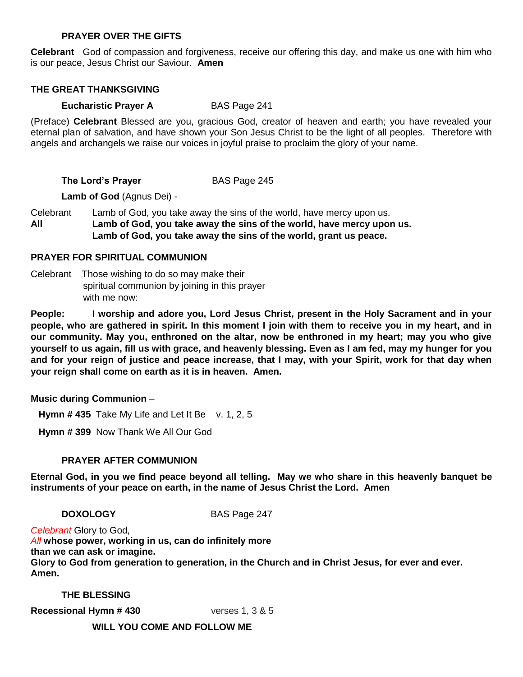# **PRAYER OVER THE GIFTS**

**Celebrant** God of compassion and forgiveness, receive our offering this day, and make us one with him who is our peace, Jesus Christ our Saviour. **Amen**

# **THE GREAT THANKSGIVING**

#### **Eucharistic Prayer A** BAS Page 241

(Preface) **Celebrant** Blessed are you, gracious God, creator of heaven and earth; you have revealed your eternal plan of salvation, and have shown your Son Jesus Christ to be the light of all peoples. Therefore with angels and archangels we raise our voices in joyful praise to proclaim the glory of your name.

# **The Lord's Prayer** BAS Page 245

**Lamb of God** (Agnus Dei) -

Celebrant Lamb of God, you take away the sins of the world, have mercy upon us.

**All Lamb of God, you take away the sins of the world, have mercy upon us. Lamb of God, you take away the sins of the world, grant us peace.** 

#### **PRAYER FOR SPIRITUAL COMMUNION**

Celebrant Those wishing to do so may make their spiritual communion by joining in this prayer with me now:

**People: I worship and adore you, Lord Jesus Christ, present in the Holy Sacrament and in your people, who are gathered in spirit. In this moment I join with them to receive you in my heart, and in our community. May you, enthroned on the altar, now be enthroned in my heart; may you who give yourself to us again, fill us with grace, and heavenly blessing. Even as I am fed, may my hunger for you and for your reign of justice and peace increase, that I may, with your Spirit, work for that day when your reign shall come on earth as it is in heaven. Amen.**

**Music during Communion** –

 **Hymn # 435** Take My Life and Let It Be v. 1, 2, 5

 **Hymn # 399** Now Thank We All Our God

# **PRAYER AFTER COMMUNION**

**Eternal God, in you we find peace beyond all telling. May we who share in this heavenly banquet be instruments of your peace on earth, in the name of Jesus Christ the Lord. Amen**

**DOXOLOGY** BAS Page 247

*Celebrant* Glory to God,

*All* **whose power, working in us, can do infinitely more**

**than we can ask or imagine.**

**Glory to God from generation to generation, in the Church and in Christ Jesus, for ever and ever. Amen.**

#### **THE BLESSING**

**Recessional Hymn # 430** verses 1, 3 & 5

**WILL YOU COME AND FOLLOW ME**